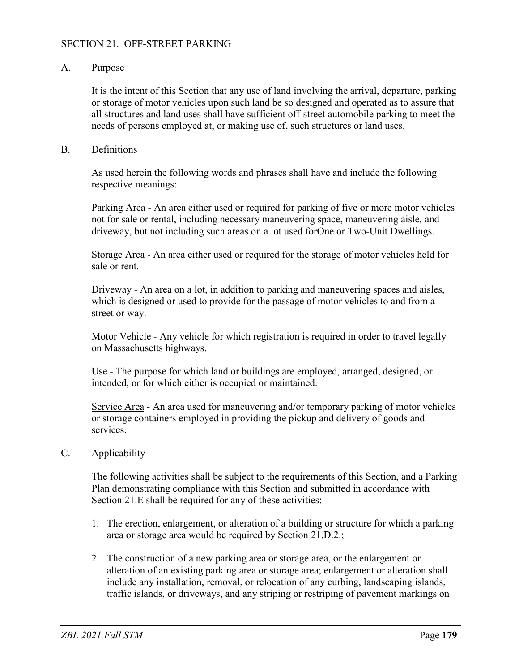## SECTION 21. OFF-STREET PARKING

#### A. Purpose

It is the intent of this Section that any use of land involving the arrival, departure, parking or storage of motor vehicles upon such land be so designed and operated as to assure that all structures and land uses shall have sufficient off-street automobile parking to meet the needs of persons employed at, or making use of, such structures or land uses.

#### B. Definitions

As used herein the following words and phrases shall have and include the following respective meanings:

Parking Area - An area either used or required for parking of five or more motor vehicles not for sale or rental, including necessary maneuvering space, maneuvering aisle, and driveway, but not including such areas on a lot used forOne or Two-Unit Dwellings.

Storage Area - An area either used or required for the storage of motor vehicles held for sale or rent.

Driveway - An area on a lot, in addition to parking and maneuvering spaces and aisles, which is designed or used to provide for the passage of motor vehicles to and from a street or way.

Motor Vehicle - Any vehicle for which registration is required in order to travel legally on Massachusetts highways.

Use - The purpose for which land or buildings are employed, arranged, designed, or intended, or for which either is occupied or maintained.

Service Area - An area used for maneuvering and/or temporary parking of motor vehicles or storage containers employed in providing the pickup and delivery of goods and services.

#### C. Applicability

The following activities shall be subject to the requirements of this Section, and a Parking Plan demonstrating compliance with this Section and submitted in accordance with Section 21.E shall be required for any of these activities:

- 1. The erection, enlargement, or alteration of a building or structure for which a parking area or storage area would be required by Section 21.D.2.;
- 2. The construction of a new parking area or storage area, or the enlargement or alteration of an existing parking area or storage area; enlargement or alteration shall include any installation, removal, or relocation of any curbing, landscaping islands, traffic islands, or driveways, and any striping or restriping of pavement markings on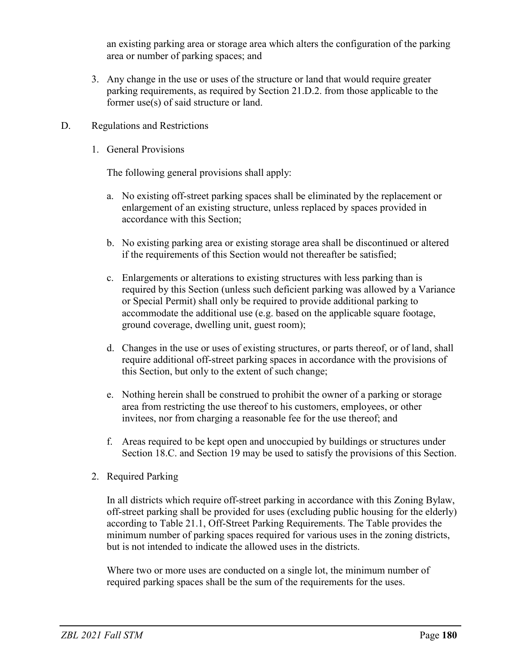an existing parking area or storage area which alters the configuration of the parking area or number of parking spaces; and

- 3. Any change in the use or uses of the structure or land that would require greater parking requirements, as required by Section 21.D.2. from those applicable to the former use(s) of said structure or land.
- D. Regulations and Restrictions
	- 1. General Provisions

The following general provisions shall apply:

- a. No existing off-street parking spaces shall be eliminated by the replacement or enlargement of an existing structure, unless replaced by spaces provided in accordance with this Section;
- b. No existing parking area or existing storage area shall be discontinued or altered if the requirements of this Section would not thereafter be satisfied;
- c. Enlargements or alterations to existing structures with less parking than is required by this Section (unless such deficient parking was allowed by a Variance or Special Permit) shall only be required to provide additional parking to accommodate the additional use (e.g. based on the applicable square footage, ground coverage, dwelling unit, guest room);
- d. Changes in the use or uses of existing structures, or parts thereof, or of land, shall require additional off-street parking spaces in accordance with the provisions of this Section, but only to the extent of such change;
- e. Nothing herein shall be construed to prohibit the owner of a parking or storage area from restricting the use thereof to his customers, employees, or other invitees, nor from charging a reasonable fee for the use thereof; and
- f. Areas required to be kept open and unoccupied by buildings or structures under Section 18.C. and Section 19 may be used to satisfy the provisions of this Section.
- 2. Required Parking

In all districts which require off-street parking in accordance with this Zoning Bylaw, off-street parking shall be provided for uses (excluding public housing for the elderly) according to Table 21.1, Off-Street Parking Requirements. The Table provides the minimum number of parking spaces required for various uses in the zoning districts, but is not intended to indicate the allowed uses in the districts.

Where two or more uses are conducted on a single lot, the minimum number of required parking spaces shall be the sum of the requirements for the uses.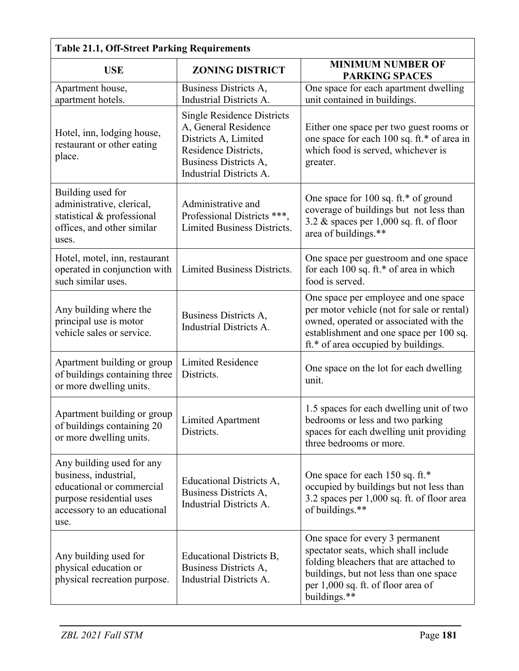| Table 21.1, OII-Street Parking Requirements                                                                                                        |                                                                                                                                                               |                                                                                                                                                                                                                   |  |  |  |
|----------------------------------------------------------------------------------------------------------------------------------------------------|---------------------------------------------------------------------------------------------------------------------------------------------------------------|-------------------------------------------------------------------------------------------------------------------------------------------------------------------------------------------------------------------|--|--|--|
| <b>USE</b>                                                                                                                                         | <b>ZONING DISTRICT</b>                                                                                                                                        | <b>MINIMUM NUMBER OF</b><br><b>PARKING SPACES</b>                                                                                                                                                                 |  |  |  |
| Apartment house,<br>apartment hotels.                                                                                                              | Business Districts A,<br>Industrial Districts A.                                                                                                              | One space for each apartment dwelling<br>unit contained in buildings.                                                                                                                                             |  |  |  |
| Hotel, inn, lodging house,<br>restaurant or other eating<br>place.                                                                                 | <b>Single Residence Districts</b><br>A, General Residence<br>Districts A, Limited<br>Residence Districts,<br>Business Districts A,<br>Industrial Districts A. | Either one space per two guest rooms or<br>one space for each 100 sq. ft.* of area in<br>which food is served, whichever is<br>greater.                                                                           |  |  |  |
| Building used for<br>administrative, clerical,<br>statistical & professional<br>offices, and other similar<br>uses.                                | Administrative and<br>Professional Districts ***,<br>Limited Business Districts.                                                                              | One space for 100 sq. ft.* of ground<br>coverage of buildings but not less than<br>3.2 $\&$ spaces per 1,000 sq. ft. of floor<br>area of buildings.**                                                             |  |  |  |
| Hotel, motel, inn, restaurant<br>operated in conjunction with<br>such similar uses.                                                                | Limited Business Districts.                                                                                                                                   | One space per guestroom and one space<br>for each 100 sq. ft.* of area in which<br>food is served.                                                                                                                |  |  |  |
| Any building where the<br>principal use is motor<br>vehicle sales or service.                                                                      | Business Districts A,<br>Industrial Districts A.                                                                                                              | One space per employee and one space<br>per motor vehicle (not for sale or rental)<br>owned, operated or associated with the<br>establishment and one space per 100 sq.<br>ft.* of area occupied by buildings.    |  |  |  |
| Apartment building or group<br>of buildings containing three<br>or more dwelling units.                                                            | <b>Limited Residence</b><br>Districts.                                                                                                                        | One space on the lot for each dwelling<br>unit.                                                                                                                                                                   |  |  |  |
| Apartment building or group<br>of buildings containing 20<br>or more dwelling units.                                                               | Limited Apartment<br>Districts.                                                                                                                               | 1.5 spaces for each dwelling unit of two<br>bedrooms or less and two parking<br>spaces for each dwelling unit providing<br>three bedrooms or more.                                                                |  |  |  |
| Any building used for any<br>business, industrial,<br>educational or commercial<br>purpose residential uses<br>accessory to an educational<br>use. | Educational Districts A,<br>Business Districts A,<br>Industrial Districts A.                                                                                  | One space for each 150 sq. ft.*<br>occupied by buildings but not less than<br>3.2 spaces per 1,000 sq. ft. of floor area<br>of buildings.**                                                                       |  |  |  |
| Any building used for<br>physical education or<br>physical recreation purpose.                                                                     | Educational Districts B,<br>Business Districts A,<br>Industrial Districts A.                                                                                  | One space for every 3 permanent<br>spectator seats, which shall include<br>folding bleachers that are attached to<br>buildings, but not less than one space<br>per 1,000 sq. ft. of floor area of<br>buildings.** |  |  |  |

# **Table 21.1, Off-Street Parking Requirements**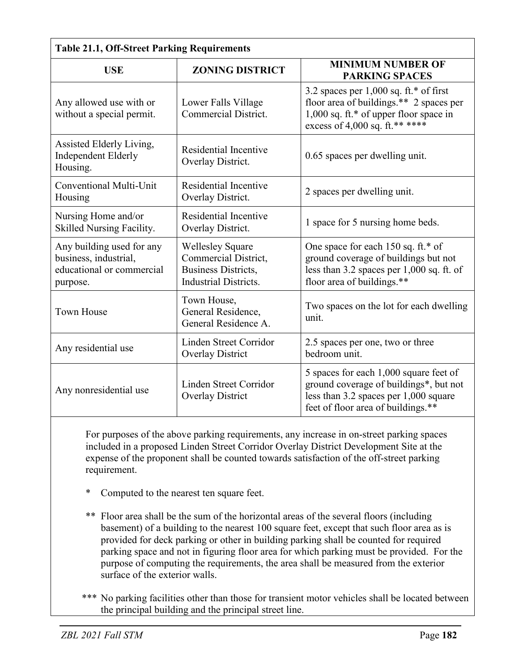| <b>Table 21.1, Off-Street Parking Requirements</b>                                          |                                                                                                               |                                                                                                                                                                 |  |  |  |
|---------------------------------------------------------------------------------------------|---------------------------------------------------------------------------------------------------------------|-----------------------------------------------------------------------------------------------------------------------------------------------------------------|--|--|--|
| <b>USE</b>                                                                                  | <b>ZONING DISTRICT</b>                                                                                        | <b>MINIMUM NUMBER OF</b><br><b>PARKING SPACES</b>                                                                                                               |  |  |  |
| Any allowed use with or<br>without a special permit.                                        | Lower Falls Village<br><b>Commercial District.</b>                                                            | 3.2 spaces per $1,000$ sq. ft.* of first<br>floor area of buildings.** 2 spaces per<br>1,000 sq. ft.* of upper floor space in<br>excess of 4,000 sq. ft.** **** |  |  |  |
| Assisted Elderly Living,<br>Independent Elderly<br>Housing.                                 | Residential Incentive<br>Overlay District.                                                                    | 0.65 spaces per dwelling unit.                                                                                                                                  |  |  |  |
| Conventional Multi-Unit<br>Housing                                                          | Residential Incentive<br>Overlay District.                                                                    | 2 spaces per dwelling unit.                                                                                                                                     |  |  |  |
| Nursing Home and/or<br>Skilled Nursing Facility.                                            | Residential Incentive<br>Overlay District.                                                                    | 1 space for 5 nursing home beds.                                                                                                                                |  |  |  |
| Any building used for any<br>business, industrial,<br>educational or commercial<br>purpose. | <b>Wellesley Square</b><br>Commercial District,<br><b>Business Districts,</b><br><b>Industrial Districts.</b> | One space for each 150 sq. ft.* of<br>ground coverage of buildings but not<br>less than 3.2 spaces per 1,000 sq. ft. of<br>floor area of buildings.**           |  |  |  |
| <b>Town House</b>                                                                           | Town House,<br>General Residence,<br>General Residence A.                                                     | Two spaces on the lot for each dwelling<br>unit.                                                                                                                |  |  |  |
| Any residential use                                                                         | Linden Street Corridor<br><b>Overlay District</b>                                                             | 2.5 spaces per one, two or three<br>bedroom unit.                                                                                                               |  |  |  |
| Any nonresidential use                                                                      | Linden Street Corridor<br><b>Overlay District</b>                                                             | 5 spaces for each 1,000 square feet of<br>ground coverage of buildings*, but not<br>less than 3.2 spaces per 1,000 square<br>feet of floor area of buildings.** |  |  |  |

For purposes of the above parking requirements, any increase in on-street parking spaces included in a proposed Linden Street Corridor Overlay District Development Site at the expense of the proponent shall be counted towards satisfaction of the off-street parking requirement.

- Computed to the nearest ten square feet.
- \*\* Floor area shall be the sum of the horizontal areas of the several floors (including basement) of a building to the nearest 100 square feet, except that such floor area as is provided for deck parking or other in building parking shall be counted for required parking space and not in figuring floor area for which parking must be provided. For the purpose of computing the requirements, the area shall be measured from the exterior surface of the exterior walls.
- \*\*\* No parking facilities other than those for transient motor vehicles shall be located between the principal building and the principal street line.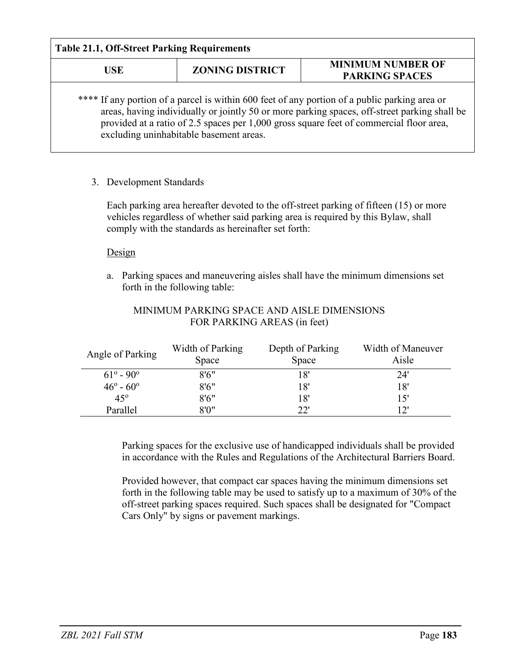| <b>Table 21.1, Off-Street Parking Requirements</b> |                                                                             |                                                                                                                                                                                                                                                                                          |  |  |
|----------------------------------------------------|-----------------------------------------------------------------------------|------------------------------------------------------------------------------------------------------------------------------------------------------------------------------------------------------------------------------------------------------------------------------------------|--|--|
| <b>USE</b>                                         | <b>MINIMUM NUMBER OF</b><br><b>ZONING DISTRICT</b><br><b>PARKING SPACES</b> |                                                                                                                                                                                                                                                                                          |  |  |
|                                                    | excluding uninhabitable basement areas.                                     | **** If any portion of a parcel is within 600 feet of any portion of a public parking area or<br>areas, having individually or jointly 50 or more parking spaces, off-street parking shall be<br>provided at a ratio of 2.5 spaces per 1,000 gross square feet of commercial floor area, |  |  |

# 3. Development Standards

Each parking area hereafter devoted to the off-street parking of fifteen (15) or more vehicles regardless of whether said parking area is required by this Bylaw, shall comply with the standards as hereinafter set forth:

## Design

a. Parking spaces and maneuvering aisles shall have the minimum dimensions set forth in the following table:

| Angle of Parking          | Width of Parking<br>Space | Depth of Parking<br>Space | Width of Maneuver<br>Aisle |
|---------------------------|---------------------------|---------------------------|----------------------------|
| $61^{\circ} - 90^{\circ}$ | 8'6''                     | 18'                       | 24'                        |
| $46^{\circ} - 60^{\circ}$ | 8'6''                     | 18'                       | 18'                        |
| $45^\circ$                | 8'6''                     | 18'                       | 15'                        |
| Parallel                  | 8'0''                     | つつり                       | ירו                        |

# MINIMUM PARKING SPACE AND AISLE DIMENSIONS FOR PARKING AREAS (in feet)

Parking spaces for the exclusive use of handicapped individuals shall be provided in accordance with the Rules and Regulations of the Architectural Barriers Board.

Provided however, that compact car spaces having the minimum dimensions set forth in the following table may be used to satisfy up to a maximum of 30% of the off-street parking spaces required. Such spaces shall be designated for "Compact Cars Only" by signs or pavement markings.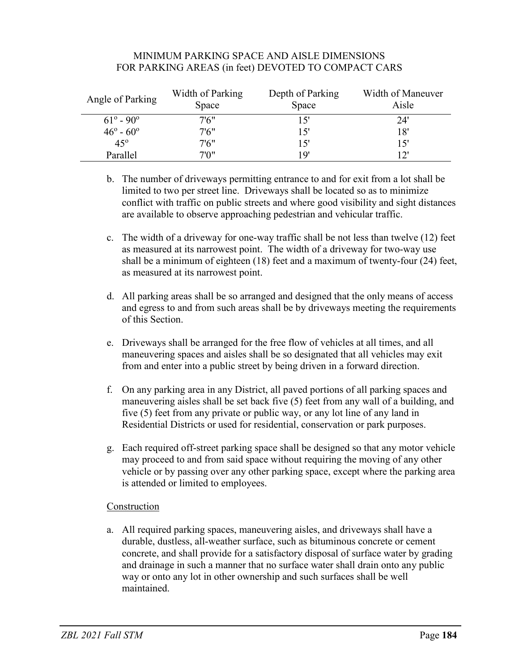## MINIMUM PARKING SPACE AND AISLE DIMENSIONS FOR PARKING AREAS (in feet) DEVOTED TO COMPACT CARS

| Angle of Parking          | Width of Parking<br>Space | Depth of Parking<br>Space | Width of Maneuver<br>Aisle |
|---------------------------|---------------------------|---------------------------|----------------------------|
| $61^{\circ} - 90^{\circ}$ | 7'6"                      | 15'                       | 24'                        |
| $46^{\circ} - 60^{\circ}$ | 7'6"                      | 15'                       | 18'                        |
| $45^\circ$                | 7'6"                      | 15'                       | 15'                        |
| Parallel                  | 7ΊΩ"                      | 1 Q'                      | 12'                        |

- b. The number of driveways permitting entrance to and for exit from a lot shall be limited to two per street line. Driveways shall be located so as to minimize conflict with traffic on public streets and where good visibility and sight distances are available to observe approaching pedestrian and vehicular traffic.
- c. The width of a driveway for one-way traffic shall be not less than twelve (12) feet as measured at its narrowest point. The width of a driveway for two-way use shall be a minimum of eighteen (18) feet and a maximum of twenty-four (24) feet, as measured at its narrowest point.
- d. All parking areas shall be so arranged and designed that the only means of access and egress to and from such areas shall be by driveways meeting the requirements of this Section.
- e. Driveways shall be arranged for the free flow of vehicles at all times, and all maneuvering spaces and aisles shall be so designated that all vehicles may exit from and enter into a public street by being driven in a forward direction.
- f. On any parking area in any District, all paved portions of all parking spaces and maneuvering aisles shall be set back five (5) feet from any wall of a building, and five (5) feet from any private or public way, or any lot line of any land in Residential Districts or used for residential, conservation or park purposes.
- g. Each required off-street parking space shall be designed so that any motor vehicle may proceed to and from said space without requiring the moving of any other vehicle or by passing over any other parking space, except where the parking area is attended or limited to employees.

# Construction

a. All required parking spaces, maneuvering aisles, and driveways shall have a durable, dustless, all-weather surface, such as bituminous concrete or cement concrete, and shall provide for a satisfactory disposal of surface water by grading and drainage in such a manner that no surface water shall drain onto any public way or onto any lot in other ownership and such surfaces shall be well maintained.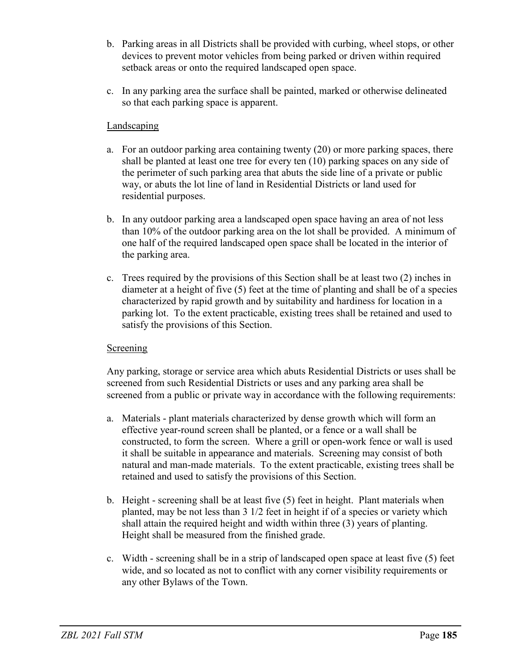- b. Parking areas in all Districts shall be provided with curbing, wheel stops, or other devices to prevent motor vehicles from being parked or driven within required setback areas or onto the required landscaped open space.
- c. In any parking area the surface shall be painted, marked or otherwise delineated so that each parking space is apparent.

# Landscaping

- a. For an outdoor parking area containing twenty (20) or more parking spaces, there shall be planted at least one tree for every ten (10) parking spaces on any side of the perimeter of such parking area that abuts the side line of a private or public way, or abuts the lot line of land in Residential Districts or land used for residential purposes.
- b. In any outdoor parking area a landscaped open space having an area of not less than 10% of the outdoor parking area on the lot shall be provided. A minimum of one half of the required landscaped open space shall be located in the interior of the parking area.
- c. Trees required by the provisions of this Section shall be at least two (2) inches in diameter at a height of five (5) feet at the time of planting and shall be of a species characterized by rapid growth and by suitability and hardiness for location in a parking lot. To the extent practicable, existing trees shall be retained and used to satisfy the provisions of this Section.

# **Screening**

Any parking, storage or service area which abuts Residential Districts or uses shall be screened from such Residential Districts or uses and any parking area shall be screened from a public or private way in accordance with the following requirements:

- a. Materials plant materials characterized by dense growth which will form an effective year-round screen shall be planted, or a fence or a wall shall be constructed, to form the screen. Where a grill or open-work fence or wall is used it shall be suitable in appearance and materials. Screening may consist of both natural and man-made materials. To the extent practicable, existing trees shall be retained and used to satisfy the provisions of this Section.
- b. Height screening shall be at least five (5) feet in height. Plant materials when planted, may be not less than 3 1/2 feet in height if of a species or variety which shall attain the required height and width within three (3) years of planting. Height shall be measured from the finished grade.
- c. Width screening shall be in a strip of landscaped open space at least five (5) feet wide, and so located as not to conflict with any corner visibility requirements or any other Bylaws of the Town.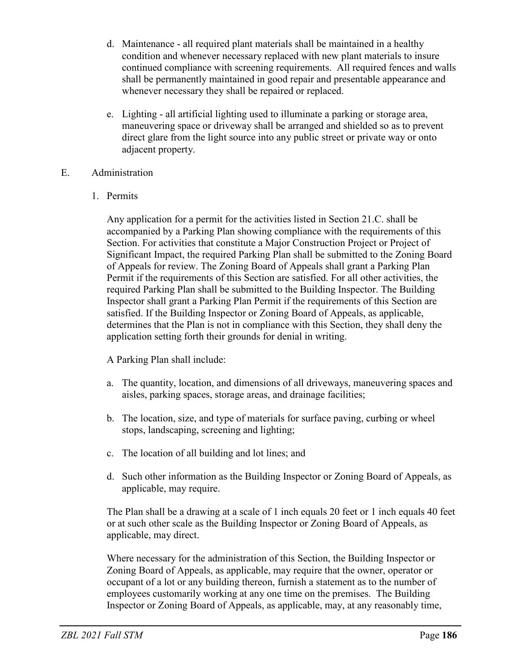- d. Maintenance all required plant materials shall be maintained in a healthy condition and whenever necessary replaced with new plant materials to insure continued compliance with screening requirements. All required fences and walls shall be permanently maintained in good repair and presentable appearance and whenever necessary they shall be repaired or replaced.
- e. Lighting all artificial lighting used to illuminate a parking or storage area, maneuvering space or driveway shall be arranged and shielded so as to prevent direct glare from the light source into any public street or private way or onto adjacent property.

# E. Administration

1. Permits

Any application for a permit for the activities listed in Section 21.C. shall be accompanied by a Parking Plan showing compliance with the requirements of this Section. For activities that constitute a Major Construction Project or Project of Significant Impact, the required Parking Plan shall be submitted to the Zoning Board of Appeals for review. The Zoning Board of Appeals shall grant a Parking Plan Permit if the requirements of this Section are satisfied. For all other activities, the required Parking Plan shall be submitted to the Building Inspector. The Building Inspector shall grant a Parking Plan Permit if the requirements of this Section are satisfied. If the Building Inspector or Zoning Board of Appeals, as applicable, determines that the Plan is not in compliance with this Section, they shall deny the application setting forth their grounds for denial in writing.

A Parking Plan shall include:

- a. The quantity, location, and dimensions of all driveways, maneuvering spaces and aisles, parking spaces, storage areas, and drainage facilities;
- b. The location, size, and type of materials for surface paving, curbing or wheel stops, landscaping, screening and lighting;
- c. The location of all building and lot lines; and
- d. Such other information as the Building Inspector or Zoning Board of Appeals, as applicable, may require.

The Plan shall be a drawing at a scale of 1 inch equals 20 feet or 1 inch equals 40 feet or at such other scale as the Building Inspector or Zoning Board of Appeals, as applicable, may direct.

Where necessary for the administration of this Section, the Building Inspector or Zoning Board of Appeals, as applicable, may require that the owner, operator or occupant of a lot or any building thereon, furnish a statement as to the number of employees customarily working at any one time on the premises. The Building Inspector or Zoning Board of Appeals, as applicable, may, at any reasonably time,